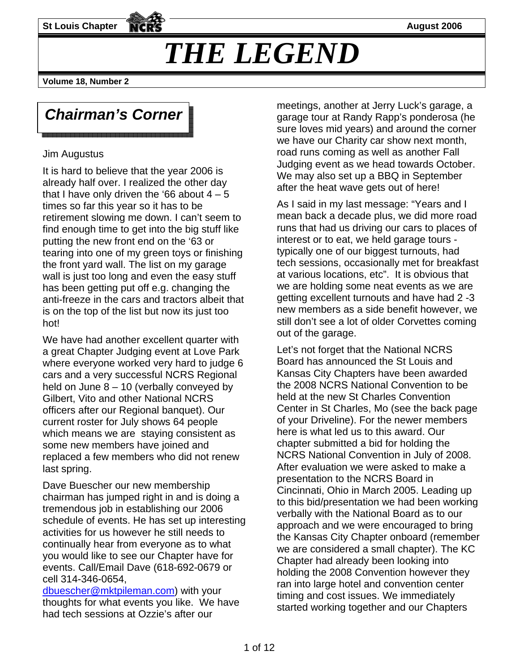**St Louis Chapter August 2006** 

# *THE LEGEND*

**Volume 18, Number 2** 

## *Chairman's Corner*

<u> Tanzania de la contrada de la contrada de la contrada de la contrada de la contrada de la contrada de la con</u>

#### Jim Augustus

It is hard to believe that the year 2006 is already half over. I realized the other day that I have only driven the '66 about  $4 - 5$ times so far this year so it has to be retirement slowing me down. I can't seem to find enough time to get into the big stuff like putting the new front end on the '63 or tearing into one of my green toys or finishing the front yard wall. The list on my garage wall is just too long and even the easy stuff has been getting put off e.g. changing the anti-freeze in the cars and tractors albeit that is on the top of the list but now its just too hot!

We have had another excellent quarter with a great Chapter Judging event at Love Park where everyone worked very hard to judge 6 cars and a very successful NCRS Regional held on June 8 – 10 (verbally conveyed by Gilbert, Vito and other National NCRS officers after our Regional banquet). Our current roster for July shows 64 people which means we are staying consistent as some new members have joined and replaced a few members who did not renew last spring.

Dave Buescher our new membership chairman has jumped right in and is doing a tremendous job in establishing our 2006 schedule of events. He has set up interesting activities for us however he still needs to continually hear from everyone as to what you would like to see our Chapter have for events. Call/Email Dave (618-692-0679 or cell 314-346-0654,

dbuescher@mktpileman.com) with your thoughts for what events you like. We have had tech sessions at Ozzie's after our

meetings, another at Jerry Luck's garage, a garage tour at Randy Rapp's ponderosa (he sure loves mid years) and around the corner we have our Charity car show next month, road runs coming as well as another Fall Judging event as we head towards October. We may also set up a BBQ in September after the heat wave gets out of here!

As I said in my last message: "Years and I mean back a decade plus, we did more road runs that had us driving our cars to places of interest or to eat, we held garage tours typically one of our biggest turnouts, had tech sessions, occasionally met for breakfast at various locations, etc". It is obvious that we are holding some neat events as we are getting excellent turnouts and have had 2 -3 new members as a side benefit however, we still don't see a lot of older Corvettes coming out of the garage.

Let's not forget that the National NCRS Board has announced the St Louis and Kansas City Chapters have been awarded the 2008 NCRS National Convention to be held at the new St Charles Convention Center in St Charles, Mo (see the back page of your Driveline). For the newer members here is what led us to this award. Our chapter submitted a bid for holding the NCRS National Convention in July of 2008. After evaluation we were asked to make a presentation to the NCRS Board in Cincinnati, Ohio in March 2005. Leading up to this bid/presentation we had been working verbally with the National Board as to our approach and we were encouraged to bring the Kansas City Chapter onboard (remember we are considered a small chapter). The KC Chapter had already been looking into holding the 2008 Convention however they ran into large hotel and convention center timing and cost issues. We immediately started working together and our Chapters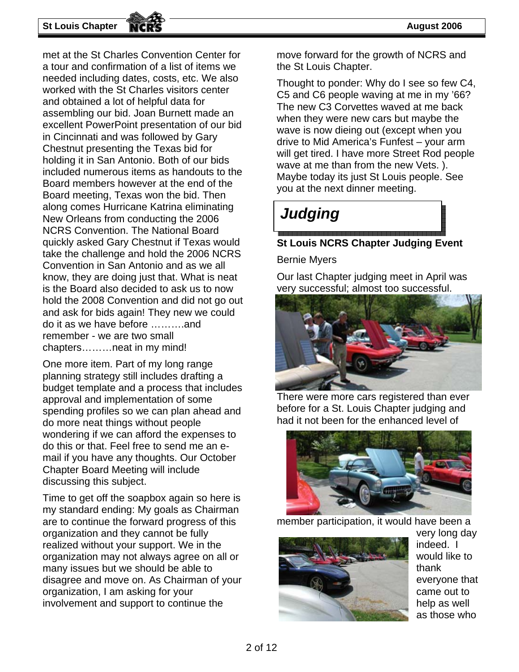**St Louis Chapter August 2006** 

met at the St Charles Convention Center for a tour and confirmation of a list of items we needed including dates, costs, etc. We also worked with the St Charles visitors center and obtained a lot of helpful data for assembling our bid. Joan Burnett made an excellent PowerPoint presentation of our bid in Cincinnati and was followed by Gary Chestnut presenting the Texas bid for holding it in San Antonio. Both of our bids included numerous items as handouts to the Board members however at the end of the Board meeting, Texas won the bid. Then along comes Hurricane Katrina eliminating New Orleans from conducting the 2006 NCRS Convention. The National Board quickly asked Gary Chestnut if Texas would take the challenge and hold the 2006 NCRS Convention in San Antonio and as we all know, they are doing just that. What is neat is the Board also decided to ask us to now hold the 2008 Convention and did not go out and ask for bids again! They new we could do it as we have before ……….and remember - we are two small chapters………neat in my mind!

One more item. Part of my long range planning strategy still includes drafting a budget template and a process that includes approval and implementation of some spending profiles so we can plan ahead and do more neat things without people wondering if we can afford the expenses to do this or that. Feel free to send me an email if you have any thoughts. Our October Chapter Board Meeting will include discussing this subject.

Time to get off the soapbox again so here is my standard ending: My goals as Chairman are to continue the forward progress of this organization and they cannot be fully realized without your support. We in the organization may not always agree on all or many issues but we should be able to disagree and move on. As Chairman of your organization, I am asking for your involvement and support to continue the

move forward for the growth of NCRS and the St Louis Chapter.

Thought to ponder: Why do I see so few C4, C5 and C6 people waving at me in my '66? The new C3 Corvettes waved at me back when they were new cars but maybe the wave is now dieing out (except when you drive to Mid America's Funfest – your arm will get tired. I have more Street Rod people wave at me than from the new Vets. ). Maybe today its just St Louis people. See you at the next dinner meeting.

### *Judging*

#### **St Louis NCRS Chapter Judging Event**

Bernie Myers

Our last Chapter judging meet in April was very successful; almost too successful.



There were more cars registered than ever before for a St. Louis Chapter judging and had it not been for the enhanced level of



member participation, it would have been a



very long day indeed. I would like to thank everyone that came out to help as well as those who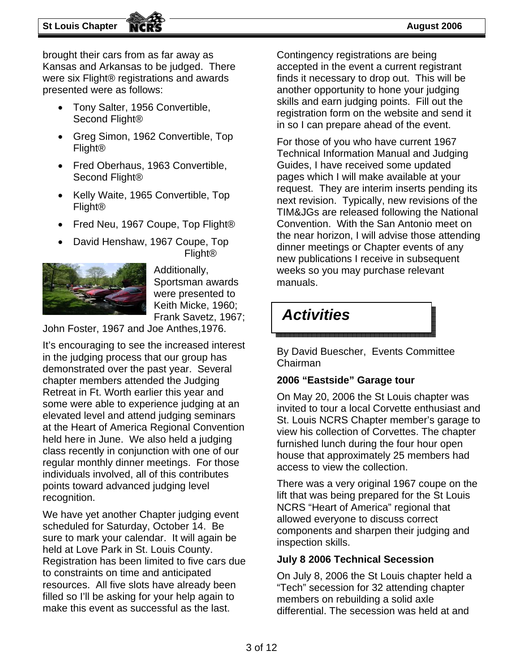brought their cars from as far away as Kansas and Arkansas to be judged. There were six Flight® registrations and awards presented were as follows:

- Tony Salter, 1956 Convertible, Second Flight®
- Greg Simon, 1962 Convertible, Top Flight®
- Fred Oberhaus, 1963 Convertible, Second Flight®
- Kelly Waite, 1965 Convertible, Top Flight®
- Fred Neu, 1967 Coupe, Top Flight®
- David Henshaw, 1967 Coupe, Top Flight®



Additionally, Sportsman awards were presented to Keith Micke, 1960; Frank Savetz, 1967;

John Foster, 1967 and Joe Anthes,1976.

It's encouraging to see the increased interest in the judging process that our group has demonstrated over the past year. Several chapter members attended the Judging Retreat in Ft. Worth earlier this year and some were able to experience judging at an elevated level and attend judging seminars at the Heart of America Regional Convention held here in June. We also held a judging class recently in conjunction with one of our regular monthly dinner meetings. For those individuals involved, all of this contributes points toward advanced judging level recognition.

We have yet another Chapter judging event scheduled for Saturday, October 14. Be sure to mark your calendar. It will again be held at Love Park in St. Louis County. Registration has been limited to five cars due to constraints on time and anticipated resources. All five slots have already been filled so I'll be asking for your help again to make this event as successful as the last.

Contingency registrations are being accepted in the event a current registrant finds it necessary to drop out. This will be another opportunity to hone your judging skills and earn judging points. Fill out the registration form on the website and send it in so I can prepare ahead of the event.

For those of you who have current 1967 Technical Information Manual and Judging Guides, I have received some updated pages which I will make available at your request. They are interim inserts pending its next revision. Typically, new revisions of the TIM&JGs are released following the National Convention. With the San Antonio meet on the near horizon, I will advise those attending dinner meetings or Chapter events of any new publications I receive in subsequent weeks so you may purchase relevant manuals.

### *Activities*

By David Buescher, Events Committee Chairman

### **2006 "Eastside" Garage tour**

On May 20, 2006 the St Louis chapter was invited to tour a local Corvette enthusiast and St. Louis NCRS Chapter member's garage to view his collection of Corvettes. The chapter furnished lunch during the four hour open house that approximately 25 members had access to view the collection.

There was a very original 1967 coupe on the lift that was being prepared for the St Louis NCRS "Heart of America" regional that allowed everyone to discuss correct components and sharpen their judging and inspection skills.

#### **July 8 2006 Technical Secession**

On July 8, 2006 the St Louis chapter held a "Tech" secession for 32 attending chapter members on rebuilding a solid axle differential. The secession was held at and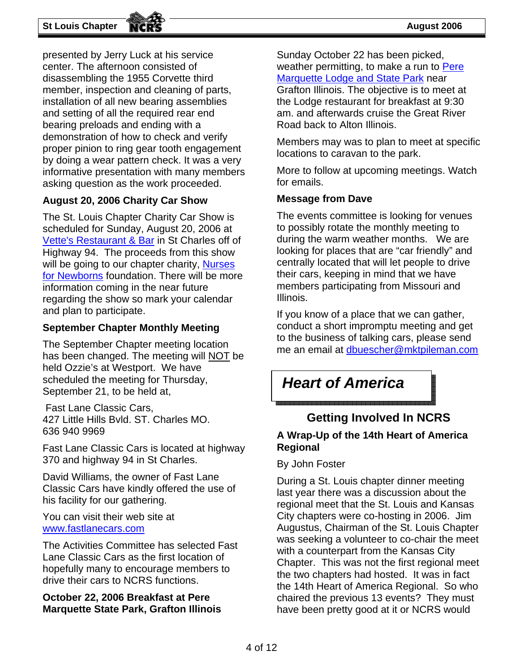presented by Jerry Luck at his service center. The afternoon consisted of disassembling the 1955 Corvette third member, inspection and cleaning of parts, installation of all new bearing assemblies and setting of all the required rear end bearing preloads and ending with a demonstration of how to check and verify proper pinion to ring gear tooth engagement by doing a wear pattern check. It was a very informative presentation with many members asking question as the work proceeded.

#### **August 20, 2006 Charity Car Show**

The St. Louis Chapter Charity Car Show is scheduled for Sunday, August 20, 2006 at Vette's Restaurant & Bar in St Charles off of Highway 94. The proceeds from this show will be going to our chapter charity, Nurses for Newborns foundation. There will be more information coming in the near future regarding the show so mark your calendar and plan to participate.

#### **September Chapter Monthly Meeting**

The September Chapter meeting location has been changed. The meeting will NOT be held Ozzie's at Westport. We have scheduled the meeting for Thursday, September 21, to be held at,

 Fast Lane Classic Cars, 427 Little Hills Bvld. ST. Charles MO. 636 940 9969

Fast Lane Classic Cars is located at highway 370 and highway 94 in St Charles.

David Williams, the owner of Fast Lane Classic Cars have kindly offered the use of his facility for our gathering.

You can visit their web site at www.fastlanecars.com

The Activities Committee has selected Fast Lane Classic Cars as the first location of hopefully many to encourage members to drive their cars to NCRS functions.

#### **October 22, 2006 Breakfast at Pere Marquette State Park, Grafton Illinois**

Sunday October 22 has been picked, weather permitting, to make a run to Pere Marquette Lodge and State Park near Grafton Illinois. The objective is to meet at

the Lodge restaurant for breakfast at 9:30 am. and afterwards cruise the Great River Road back to Alton Illinois.

Members may was to plan to meet at specific locations to caravan to the park.

More to follow at upcoming meetings. Watch for emails.

#### **Message from Dave**

The events committee is looking for venues to possibly rotate the monthly meeting to during the warm weather months. We are looking for places that are "car friendly" and centrally located that will let people to drive their cars, keeping in mind that we have members participating from Missouri and Illinois.

If you know of a place that we can gather, conduct a short impromptu meeting and get to the business of talking cars, please send me an email at dbuescher@mktpileman.com

### *Heart of America*

#### 

#### **Getting Involved In NCRS**

#### **A Wrap-Up of the 14th Heart of America Regional**

#### By John Foster

During a St. Louis chapter dinner meeting last year there was a discussion about the regional meet that the St. Louis and Kansas City chapters were co-hosting in 2006. Jim Augustus, Chairman of the St. Louis Chapter was seeking a volunteer to co-chair the meet with a counterpart from the Kansas City Chapter. This was not the first regional meet the two chapters had hosted. It was in fact the 14th Heart of America Regional. So who chaired the previous 13 events? They must have been pretty good at it or NCRS would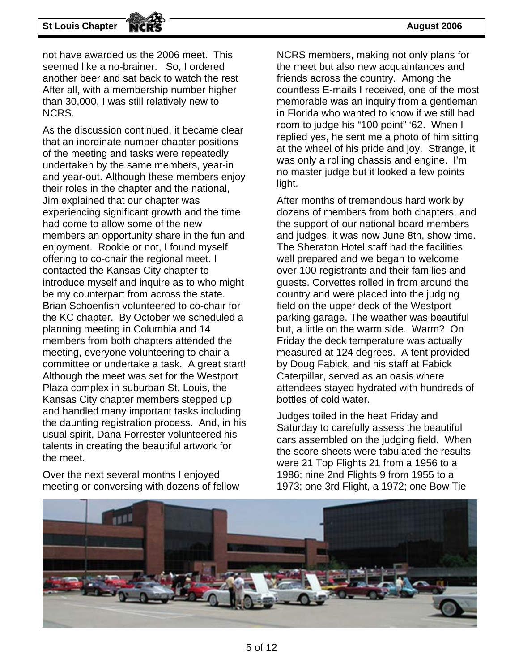not have awarded us the 2006 meet. This seemed like a no-brainer. So, I ordered another beer and sat back to watch the rest After all, with a membership number higher than 30,000, I was still relatively new to NCRS.

As the discussion continued, it became clear that an inordinate number chapter positions of the meeting and tasks were repeatedly undertaken by the same members, year-in and year-out. Although these members enjoy their roles in the chapter and the national, Jim explained that our chapter was experiencing significant growth and the time had come to allow some of the new members an opportunity share in the fun and enjoyment. Rookie or not, I found myself offering to co-chair the regional meet. I contacted the Kansas City chapter to introduce myself and inquire as to who might be my counterpart from across the state. Brian Schoenfish volunteered to co-chair for the KC chapter. By October we scheduled a planning meeting in Columbia and 14 members from both chapters attended the meeting, everyone volunteering to chair a committee or undertake a task. A great start! Although the meet was set for the Westport Plaza complex in suburban St. Louis, the Kansas City chapter members stepped up and handled many important tasks including the daunting registration process. And, in his usual spirit, Dana Forrester volunteered his talents in creating the beautiful artwork for the meet.

Over the next several months I enjoyed meeting or conversing with dozens of fellow NCRS members, making not only plans for the meet but also new acquaintances and friends across the country. Among the countless E-mails I received, one of the most memorable was an inquiry from a gentleman in Florida who wanted to know if we still had room to judge his "100 point" '62. When I replied yes, he sent me a photo of him sitting at the wheel of his pride and joy. Strange, it was only a rolling chassis and engine. I'm no master judge but it looked a few points light.

After months of tremendous hard work by dozens of members from both chapters, and the support of our national board members and judges, it was now June 8th, show time. The Sheraton Hotel staff had the facilities well prepared and we began to welcome over 100 registrants and their families and guests. Corvettes rolled in from around the country and were placed into the judging field on the upper deck of the Westport parking garage. The weather was beautiful but, a little on the warm side. Warm? On Friday the deck temperature was actually measured at 124 degrees. A tent provided by Doug Fabick, and his staff at Fabick Caterpillar, served as an oasis where attendees stayed hydrated with hundreds of bottles of cold water.

Judges toiled in the heat Friday and Saturday to carefully assess the beautiful cars assembled on the judging field. When the score sheets were tabulated the results were 21 Top Flights 21 from a 1956 to a 1986; nine 2nd Flights 9 from 1955 to a 1973; one 3rd Flight, a 1972; one Bow Tie

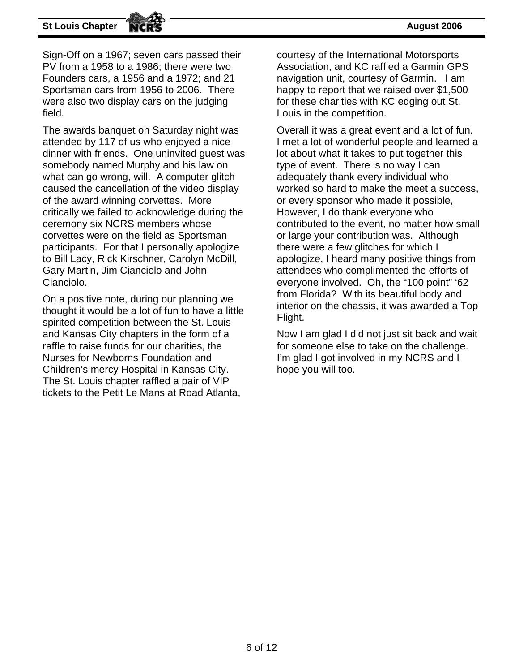#### **St Louis Chapter August 2006 August 2006**

Sign-Off on a 1967; seven cars passed their PV from a 1958 to a 1986; there were two Founders cars, a 1956 and a 1972; and 21 Sportsman cars from 1956 to 2006. There were also two display cars on the judging field.

The awards banquet on Saturday night was attended by 117 of us who enjoyed a nice dinner with friends. One uninvited guest was somebody named Murphy and his law on what can go wrong, will. A computer glitch caused the cancellation of the video display of the award winning corvettes. More critically we failed to acknowledge during the ceremony six NCRS members whose corvettes were on the field as Sportsman participants. For that I personally apologize to Bill Lacy, Rick Kirschner, Carolyn McDill, Gary Martin, Jim Cianciolo and John Cianciolo.

On a positive note, during our planning we thought it would be a lot of fun to have a little spirited competition between the St. Louis and Kansas City chapters in the form of a raffle to raise funds for our charities, the Nurses for Newborns Foundation and Children's mercy Hospital in Kansas City. The St. Louis chapter raffled a pair of VIP tickets to the Petit Le Mans at Road Atlanta,

courtesy of the International Motorsports Association, and KC raffled a Garmin GPS navigation unit, courtesy of Garmin. I am happy to report that we raised over \$1,500 for these charities with KC edging out St. Louis in the competition.

Overall it was a great event and a lot of fun. I met a lot of wonderful people and learned a lot about what it takes to put together this type of event. There is no way I can adequately thank every individual who worked so hard to make the meet a success, or every sponsor who made it possible, However, I do thank everyone who contributed to the event, no matter how small or large your contribution was. Although there were a few glitches for which I apologize, I heard many positive things from attendees who complimented the efforts of everyone involved. Oh, the "100 point" '62 from Florida? With its beautiful body and interior on the chassis, it was awarded a Top Flight.

Now I am glad I did not just sit back and wait for someone else to take on the challenge. I'm glad I got involved in my NCRS and I hope you will too.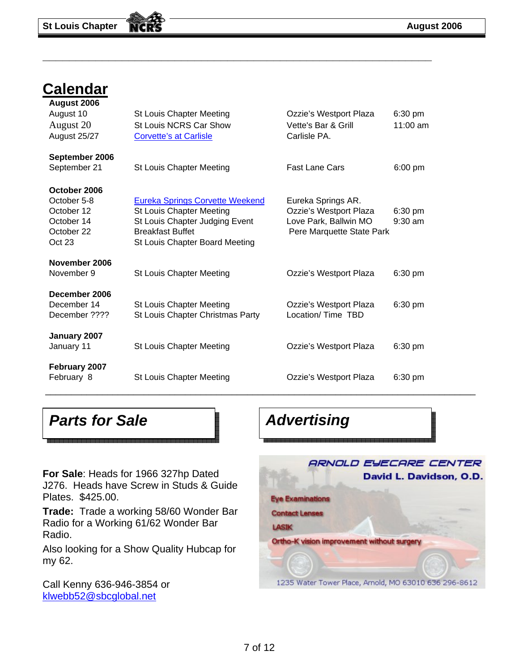### **Calendar**

| August 2006<br>August 10<br>August 20<br>August 25/27                           | <b>St Louis Chapter Meeting</b><br>St Louis NCRS Car Show<br><b>Corvette's at Carlisle</b>                                                                               | Ozzie's Westport Plaza<br>Vette's Bar & Grill<br>Carlisle PA.                                      | $6:30$ pm<br>$11:00$ am |
|---------------------------------------------------------------------------------|--------------------------------------------------------------------------------------------------------------------------------------------------------------------------|----------------------------------------------------------------------------------------------------|-------------------------|
| September 2006<br>September 21                                                  | <b>St Louis Chapter Meeting</b>                                                                                                                                          | <b>Fast Lane Cars</b>                                                                              | $6:00$ pm               |
| October 2006<br>October 5-8<br>October 12<br>October 14<br>October 22<br>Oct 23 | <b>Eureka Springs Corvette Weekend</b><br><b>St Louis Chapter Meeting</b><br>St Louis Chapter Judging Event<br><b>Breakfast Buffet</b><br>St Louis Chapter Board Meeting | Eureka Springs AR.<br>Ozzie's Westport Plaza<br>Love Park, Ballwin MO<br>Pere Marquette State Park | $6:30$ pm<br>$9:30$ am  |
| November 2006<br>November 9                                                     | <b>St Louis Chapter Meeting</b>                                                                                                                                          | Ozzie's Westport Plaza                                                                             | $6:30$ pm               |
| December 2006<br>December 14<br>December ????                                   | St Louis Chapter Meeting<br>St Louis Chapter Christmas Party                                                                                                             | Ozzie's Westport Plaza<br>Location/ Time TBD                                                       | $6:30$ pm               |
| January 2007<br>January 11                                                      | <b>St Louis Chapter Meeting</b>                                                                                                                                          | Ozzie's Westport Plaza                                                                             | $6:30 \text{ pm}$       |
| February 2007<br>February 8                                                     | <b>St Louis Chapter Meeting</b>                                                                                                                                          | Ozzie's Westport Plaza                                                                             | $6:30$ pm               |

**\_\_\_\_\_\_\_\_\_\_\_\_\_\_\_\_\_\_\_\_\_\_\_\_\_\_\_\_\_\_\_\_\_\_\_\_\_\_\_\_\_\_\_\_\_\_\_\_\_\_\_\_\_\_\_\_\_\_\_** 

**Parts for Sale**  Advertising

**For Sale**: Heads for 1966 327hp Dated J276. Heads have Screw in Studs & Guide Plates. \$425.00.

**Trade:** Trade a working 58/60 Wonder Bar Radio for a Working 61/62 Wonder Bar Radio.

Also looking for a Show Quality Hubcap for my 62.

Call Kenny 636-946-3854 or klwebb52@sbcglobal.net

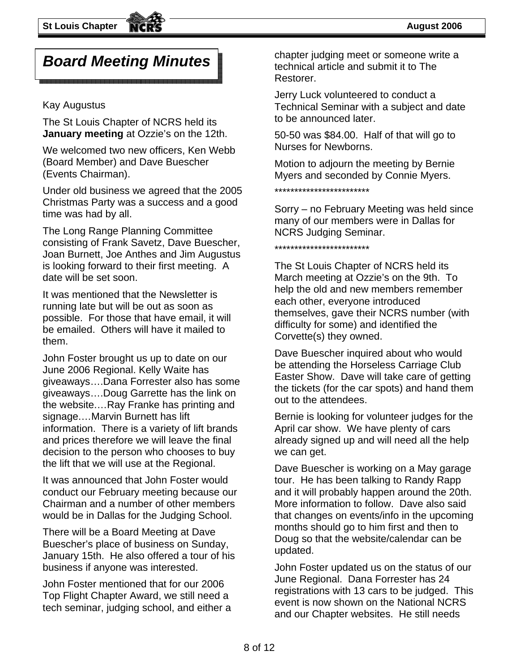### *Board Meeting Minutes*

#### Kay Augustus

The St Louis Chapter of NCRS held its **January meeting** at Ozzie's on the 12th.

We welcomed two new officers, Ken Webb (Board Member) and Dave Buescher (Events Chairman).

Under old business we agreed that the 2005 Christmas Party was a success and a good time was had by all.

The Long Range Planning Committee consisting of Frank Savetz, Dave Buescher, Joan Burnett, Joe Anthes and Jim Augustus is looking forward to their first meeting. A date will be set soon.

It was mentioned that the Newsletter is running late but will be out as soon as possible. For those that have email, it will be emailed. Others will have it mailed to them.

John Foster brought us up to date on our June 2006 Regional. Kelly Waite has giveaways….Dana Forrester also has some giveaways….Doug Garrette has the link on the website.…Ray Franke has printing and signage.…Marvin Burnett has lift information. There is a variety of lift brands and prices therefore we will leave the final decision to the person who chooses to buy the lift that we will use at the Regional.

It was announced that John Foster would conduct our February meeting because our Chairman and a number of other members would be in Dallas for the Judging School.

There will be a Board Meeting at Dave Buescher's place of business on Sunday, January 15th. He also offered a tour of his business if anyone was interested.

John Foster mentioned that for our 2006 Top Flight Chapter Award, we still need a tech seminar, judging school, and either a

chapter judging meet or someone write a technical article and submit it to The Restorer.

Jerry Luck volunteered to conduct a Technical Seminar with a subject and date to be announced later.

50-50 was \$84.00. Half of that will go to Nurses for Newborns.

Motion to adjourn the meeting by Bernie Myers and seconded by Connie Myers.

\*\*\*\*\*\*\*\*\*\*\*\*\*\*\*\*\*\*\*\*\*\*\*\*

Sorry – no February Meeting was held since many of our members were in Dallas for NCRS Judging Seminar.

\*\*\*\*\*\*\*\*\*\*\*\*\*\*\*\*\*\*\*\*\*\*\*\*

The St Louis Chapter of NCRS held its March meeting at Ozzie's on the 9th. To help the old and new members remember each other, everyone introduced themselves, gave their NCRS number (with difficulty for some) and identified the Corvette(s) they owned.

Dave Buescher inquired about who would be attending the Horseless Carriage Club Easter Show. Dave will take care of getting the tickets (for the car spots) and hand them out to the attendees.

Bernie is looking for volunteer judges for the April car show. We have plenty of cars already signed up and will need all the help we can get.

Dave Buescher is working on a May garage tour. He has been talking to Randy Rapp and it will probably happen around the 20th. More information to follow. Dave also said that changes on events/info in the upcoming months should go to him first and then to Doug so that the website/calendar can be updated.

John Foster updated us on the status of our June Regional. Dana Forrester has 24 registrations with 13 cars to be judged. This event is now shown on the National NCRS and our Chapter websites. He still needs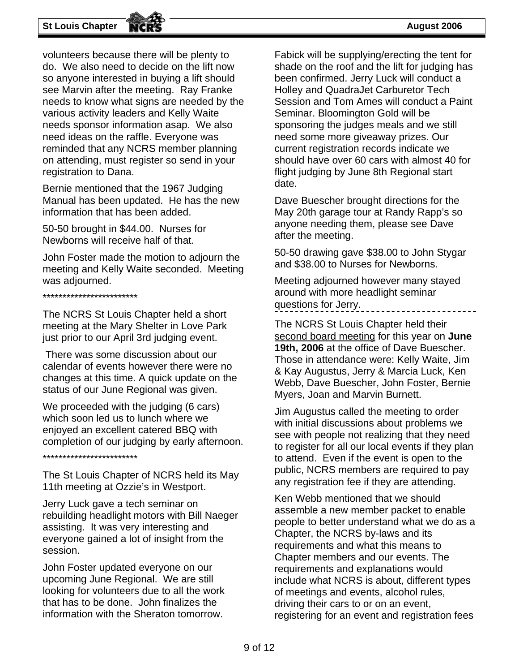#### **St Louis Chapter August 2006**

volunteers because there will be plenty to do. We also need to decide on the lift now so anyone interested in buying a lift should see Marvin after the meeting. Ray Franke needs to know what signs are needed by the various activity leaders and Kelly Waite needs sponsor information asap. We also need ideas on the raffle. Everyone was reminded that any NCRS member planning on attending, must register so send in your registration to Dana.

Bernie mentioned that the 1967 Judging Manual has been updated. He has the new information that has been added.

50-50 brought in \$44.00. Nurses for Newborns will receive half of that.

John Foster made the motion to adjourn the meeting and Kelly Waite seconded. Meeting was adjourned.

\*\*\*\*\*\*\*\*\*\*\*\*\*\*\*\*\*\*\*\*\*\*\*\*

The NCRS St Louis Chapter held a short meeting at the Mary Shelter in Love Park just prior to our April 3rd judging event.

 There was some discussion about our calendar of events however there were no changes at this time. A quick update on the status of our June Regional was given.

We proceeded with the judging (6 cars) which soon led us to lunch where we enjoyed an excellent catered BBQ with completion of our judging by early afternoon.

\*\*\*\*\*\*\*\*\*\*\*\*\*\*\*\*\*\*\*\*\*\*\*\*

The St Louis Chapter of NCRS held its May 11th meeting at Ozzie's in Westport.

Jerry Luck gave a tech seminar on rebuilding headlight motors with Bill Naeger assisting. It was very interesting and everyone gained a lot of insight from the session.

John Foster updated everyone on our upcoming June Regional. We are still looking for volunteers due to all the work that has to be done. John finalizes the information with the Sheraton tomorrow.

Fabick will be supplying/erecting the tent for shade on the roof and the lift for judging has been confirmed. Jerry Luck will conduct a Holley and QuadraJet Carburetor Tech Session and Tom Ames will conduct a Paint Seminar. Bloomington Gold will be sponsoring the judges meals and we still need some more giveaway prizes. Our current registration records indicate we should have over 60 cars with almost 40 for flight judging by June 8th Regional start date.

Dave Buescher brought directions for the May 20th garage tour at Randy Rapp's so anyone needing them, please see Dave after the meeting.

50-50 drawing gave \$38.00 to John Stygar and \$38.00 to Nurses for Newborns.

Meeting adjourned however many stayed around with more headlight seminar questions for Jerry.

The NCRS St Louis Chapter held their second board meeting for this year on **June 19th, 2006** at the office of Dave Buescher. Those in attendance were: Kelly Waite, Jim & Kay Augustus, Jerry & Marcia Luck, Ken Webb, Dave Buescher, John Foster, Bernie Myers, Joan and Marvin Burnett.

Jim Augustus called the meeting to order with initial discussions about problems we see with people not realizing that they need to register for all our local events if they plan to attend. Even if the event is open to the public, NCRS members are required to pay any registration fee if they are attending.

Ken Webb mentioned that we should assemble a new member packet to enable people to better understand what we do as a Chapter, the NCRS by-laws and its requirements and what this means to Chapter members and our events. The requirements and explanations would include what NCRS is about, different types of meetings and events, alcohol rules, driving their cars to or on an event, registering for an event and registration fees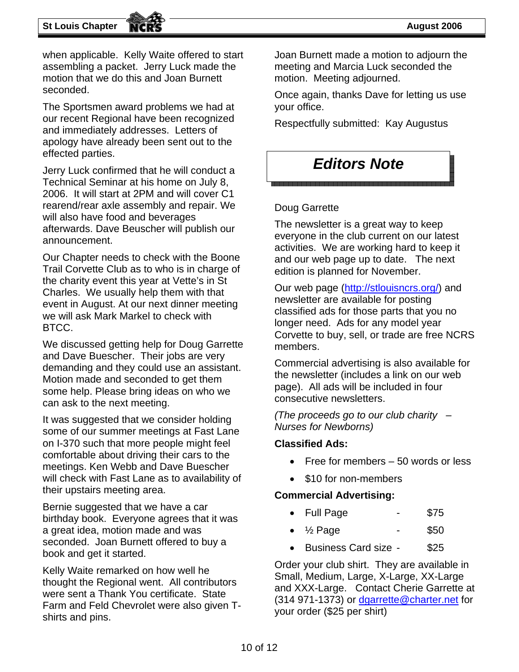when applicable. Kelly Waite offered to start assembling a packet. Jerry Luck made the motion that we do this and Joan Burnett seconded.

The Sportsmen award problems we had at our recent Regional have been recognized and immediately addresses. Letters of apology have already been sent out to the effected parties.

Jerry Luck confirmed that he will conduct a Technical Seminar at his home on July 8, 2006. It will start at 2PM and will cover C1 rearend/rear axle assembly and repair. We will also have food and beverages afterwards. Dave Beuscher will publish our announcement.

Our Chapter needs to check with the Boone Trail Corvette Club as to who is in charge of the charity event this year at Vette's in St Charles. We usually help them with that event in August. At our next dinner meeting we will ask Mark Markel to check with BTCC.

We discussed getting help for Doug Garrette and Dave Buescher. Their jobs are very demanding and they could use an assistant. Motion made and seconded to get them some help. Please bring ideas on who we can ask to the next meeting.

It was suggested that we consider holding some of our summer meetings at Fast Lane on I-370 such that more people might feel comfortable about driving their cars to the meetings. Ken Webb and Dave Buescher will check with Fast Lane as to availability of their upstairs meeting area.

Bernie suggested that we have a car birthday book. Everyone agrees that it was a great idea, motion made and was seconded. Joan Burnett offered to buy a book and get it started.

Kelly Waite remarked on how well he thought the Regional went. All contributors were sent a Thank You certificate. State Farm and Feld Chevrolet were also given Tshirts and pins.

Joan Burnett made a motion to adjourn the meeting and Marcia Luck seconded the motion. Meeting adjourned.

Once again, thanks Dave for letting us use your office.

Respectfully submitted: Kay Augustus

### *Editors Note*

#### Doug Garrette

The newsletter is a great way to keep everyone in the club current on our latest activities. We are working hard to keep it and our web page up to date. The next edition is planned for November.

Our web page (http://stlouisncrs.org/) and newsletter are available for posting classified ads for those parts that you no longer need. Ads for any model year Corvette to buy, sell, or trade are free NCRS members.

Commercial advertising is also available for the newsletter (includes a link on our web page). All ads will be included in four consecutive newsletters.

*(The proceeds go to our club charity – Nurses for Newborns)* 

#### **Classified Ads:**

- Free for members 50 words or less
- \$10 for non-members

#### **Commercial Advertising:**

- Full Page \$75
- $\frac{1}{2}$  Page \$50
- Business Card size \$25

Order your club shirt. They are available in Small, Medium, Large, X-Large, XX-Large and XXX-Large. Contact Cherie Garrette at (314 971-1373) or dgarrette@charter.net for your order (\$25 per shirt)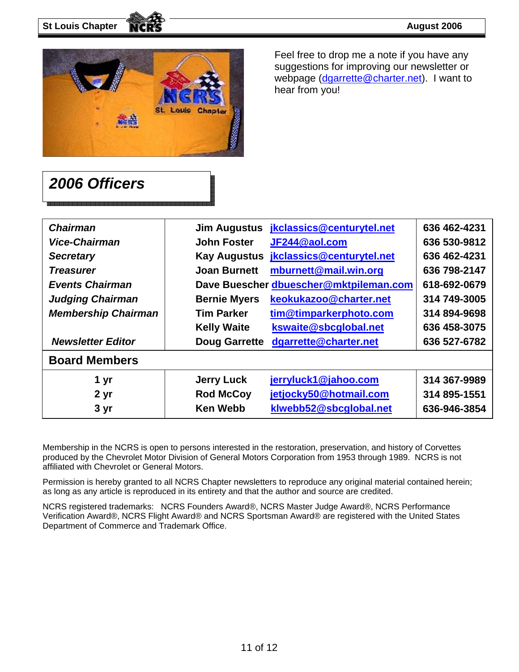

Feel free to drop me a note if you have any suggestions for improving our newsletter or webpage (dgarrette@charter.net). I want to hear from you!

### *2006 Officers*

| <b>Chairman</b>            | <b>Jim Augustus</b>  | jkclassics@centurytel.net              | 636 462-4231 |
|----------------------------|----------------------|----------------------------------------|--------------|
| Vice-Chairman              | <b>John Foster</b>   | JF244@aol.com                          | 636 530-9812 |
| <b>Secretary</b>           | <b>Kay Augustus</b>  | jkclassics@centurytel.net              | 636 462-4231 |
| <b>Treasurer</b>           | <b>Joan Burnett</b>  | mburnett@mail.win.org                  | 636 798-2147 |
| <b>Events Chairman</b>     |                      | Dave Buescher dbuescher@mktpileman.com | 618-692-0679 |
| <b>Judging Chairman</b>    | <b>Bernie Myers</b>  | keokukazoo@charter.net                 | 314 749-3005 |
| <b>Membership Chairman</b> | <b>Tim Parker</b>    | tim@timparkerphoto.com                 | 314 894-9698 |
|                            | <b>Kelly Waite</b>   | kswaite@sbcglobal.net                  | 636 458-3075 |
| <b>Newsletter Editor</b>   | <b>Doug Garrette</b> | dgarrette@charter.net                  | 636 527-6782 |
| <b>Board Members</b>       |                      |                                        |              |
| 1 yr                       | <b>Jerry Luck</b>    | jerryluck1@jahoo.com                   | 314 367-9989 |
| 2 yr                       | <b>Rod McCoy</b>     | jetjocky50@hotmail.com                 | 314 895-1551 |
| 3 yr                       | <b>Ken Webb</b>      | klwebb52@sbcglobal.net                 | 636-946-3854 |

Membership in the NCRS is open to persons interested in the restoration, preservation, and history of Corvettes produced by the Chevrolet Motor Division of General Motors Corporation from 1953 through 1989. NCRS is not affiliated with Chevrolet or General Motors.

Permission is hereby granted to all NCRS Chapter newsletters to reproduce any original material contained herein; as long as any article is reproduced in its entirety and that the author and source are credited.

NCRS registered trademarks: NCRS Founders Award®, NCRS Master Judge Award®, NCRS Performance Verification Award®, NCRS Flight Award® and NCRS Sportsman Award® are registered with the United States Department of Commerce and Trademark Office.